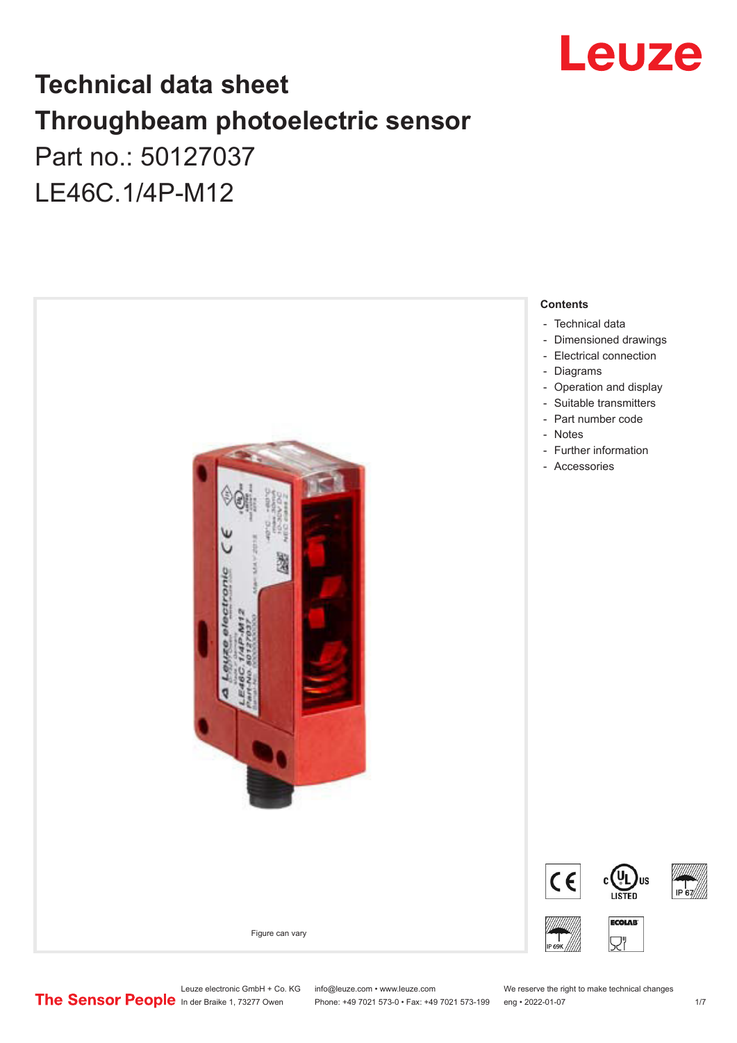

## **Technical data sheet Throughbeam photoelectric sensor**  Part no.: 50127037 LE46C.1/4P-M12



Leuze electronic GmbH + Co. KG info@leuze.com • www.leuze.com We reserve the right to make technical changes<br>
The Sensor People in der Braike 1, 73277 Owen Phone: +49 7021 573-0 • Fax: +49 7021 573-199 eng • 2022-01-07

Phone: +49 7021 573-0 • Fax: +49 7021 573-199 eng • 2022-01-07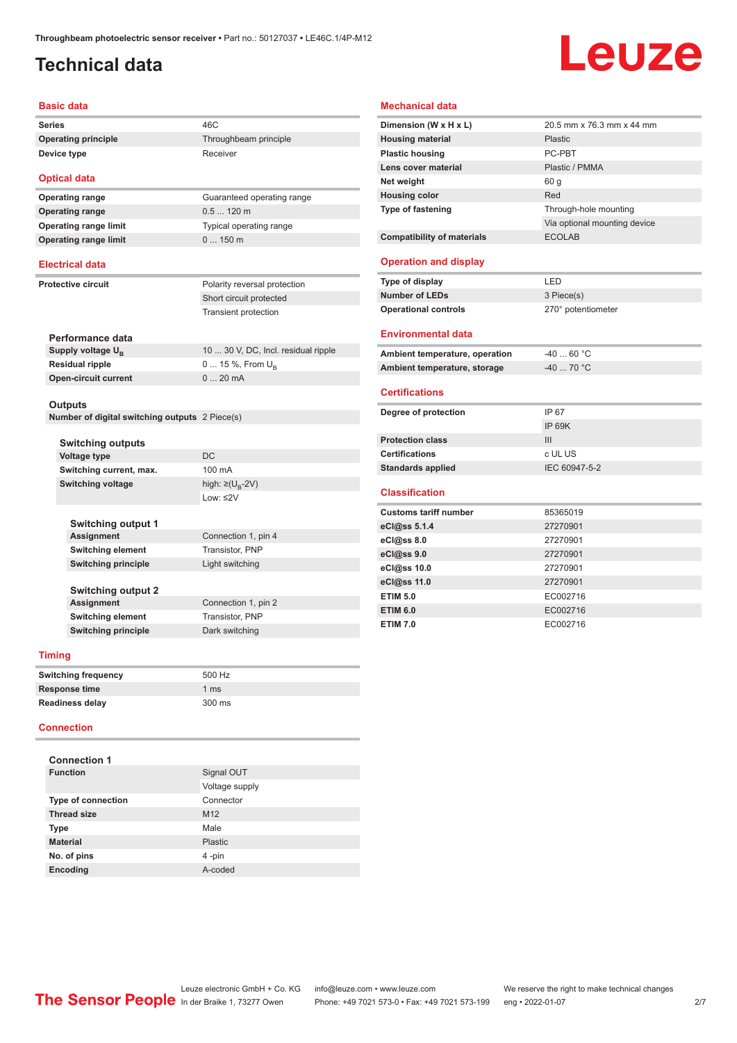## <span id="page-1-0"></span>**Technical data**

# Leuze

#### **Basic data**

**Series** 46C **Operating principle** Throughbeam principle **Device type** Receiver

#### **Optical data Operating range** Guaranteed operating range

**Operating range** 0.5 ... 120 m **Operating range limit** Typical operating range **Operating range limit** 0 ... 150 m

#### **Electrical data**

**Perfor Supply Residu** 

**Protective circuit** Polarity reversal protection Short circuit protected Transient protection

| Performance data              |                                     |
|-------------------------------|-------------------------------------|
| Supply voltage U <sub>B</sub> | 10  30 V, DC, Incl. residual ripple |
| <b>Residual ripple</b>        | $0 15 \%$ , From $U_{p}$            |
| <b>Open-circuit current</b>   | $020$ mA                            |
|                               |                                     |

#### **Outputs**

**Number of digital switching outputs** 2 Piece(s)

| <b>Switching outputs</b>  |                               |
|---------------------------|-------------------------------|
| <b>Voltage type</b>       | DC.                           |
| Switching current, max.   | 100 mA                        |
| <b>Switching voltage</b>  | high: $\geq (U_{\rm B} - 2V)$ |
|                           | Low: $\leq$ 2V                |
| <b>Switching output 1</b> |                               |

| <b>Assignment</b>          | Connection 1, pin 4 |
|----------------------------|---------------------|
| <b>Switching element</b>   | Transistor, PNP     |
| <b>Switching principle</b> | Light switching     |
|                            |                     |
| <b>Switching output 2</b>  |                     |

**Assignment** Connection 1, pin 2 **Switching element** Transistor, PNP **Switching principle** Dark switching

#### **Timing**

| <b>Switching frequency</b> | 500 Hz        |
|----------------------------|---------------|
| Response time              | 1 $\text{ms}$ |
| <b>Readiness delay</b>     | 300 ms        |

#### **Connection**

| <b>Connection 1</b>       |                 |
|---------------------------|-----------------|
| <b>Function</b>           | Signal OUT      |
|                           | Voltage supply  |
| <b>Type of connection</b> | Connector       |
| <b>Thread size</b>        | M <sub>12</sub> |
| <b>Type</b>               | Male            |
| <b>Material</b>           | Plastic         |
| No. of pins               | 4-pin           |
| <b>Encoding</b>           | A-coded         |

#### **Mechanical data**

| Dimension (W x H x L)              | 20.5 mm x 76.3 mm x 44 mm    |
|------------------------------------|------------------------------|
| <b>Housing material</b>            | Plastic                      |
| <b>Plastic housing</b>             | PC-PBT                       |
| Lens cover material                | Plastic / PMMA               |
| Net weight                         | 60 q                         |
| <b>Housing color</b>               | Red                          |
| <b>Type of fastening</b>           | Through-hole mounting        |
|                                    | Via optional mounting device |
| <b>Compatibility of materials</b>  | <b>ECOLAB</b>                |
|                                    |                              |
| <b>Operation and display</b>       |                              |
| Type of display                    | LED                          |
| <b>Number of LEDs</b>              | 3 Piece(s)                   |
| <b>Operational controls</b>        | 270° potentiometer           |
|                                    |                              |
| <b>Environmental data</b>          |                              |
| Ambient temperature, operation     | $-4060 °C$                   |
|                                    | $-40$ 70 °C                  |
| Ambient temperature, storage       |                              |
|                                    |                              |
| <b>Certifications</b>              |                              |
| Degree of protection               | IP 67                        |
|                                    | <b>IP 69K</b>                |
| <b>Protection class</b>            | III                          |
| <b>Certifications</b>              | c UL US                      |
| <b>Standards applied</b>           | IEC 60947-5-2                |
|                                    |                              |
| <b>Classification</b>              |                              |
| <b>Customs tariff number</b>       | 85365019                     |
| eCl@ss 5.1.4                       | 27270901                     |
| eCl@ss 8.0                         | 27270901                     |
| eCl@ss 9.0                         | 27270901                     |
| eCl@ss 10.0                        | 27270901                     |
| eCl@ss 11.0                        | 27270901                     |
| <b>ETIM 5.0</b>                    | EC002716                     |
| <b>ETIM 6.0</b><br><b>ETIM 7.0</b> | EC002716<br>EC002716         |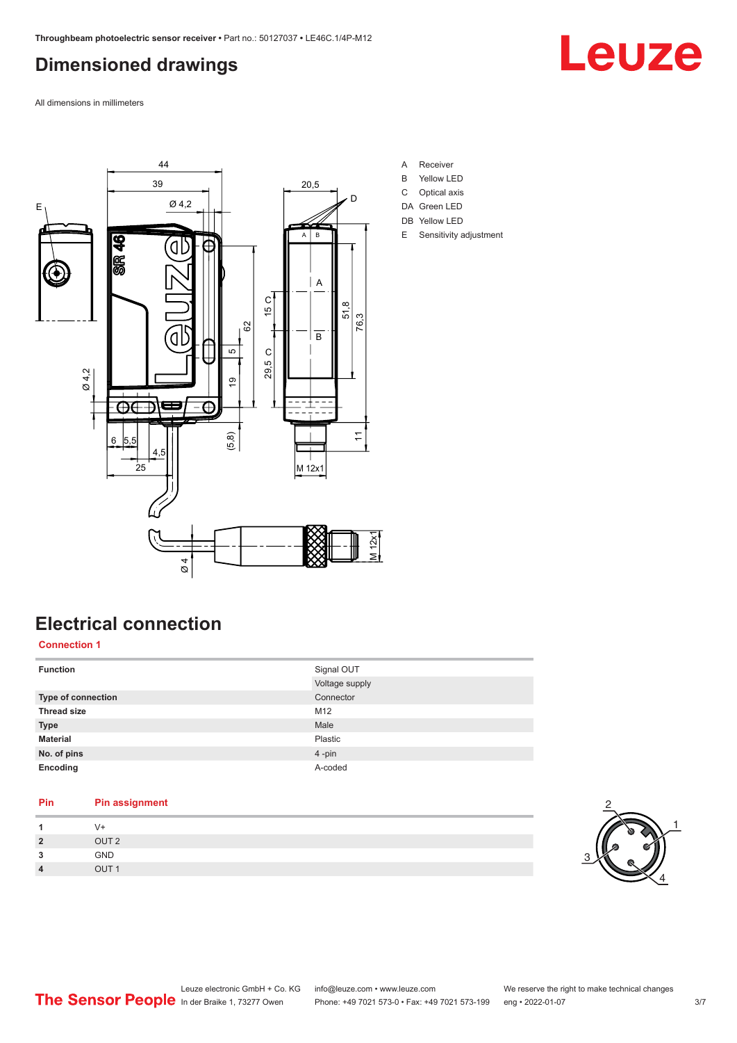## <span id="page-2-0"></span>**Dimensioned drawings**



All dimensions in millimeters



**Electrical connection Connection 1**

| <b>Function</b>    | Signal OUT<br>Voltage supply |
|--------------------|------------------------------|
| Type of connection | Connector                    |
| <b>Thread size</b> | M12                          |
| <b>Type</b>        | Male                         |
| <b>Material</b>    | Plastic                      |
| No. of pins        | 4-pin                        |
| Encoding           | A-coded                      |

#### **Pin Pin assignment 1** V+ **2** OUT 2 **3** GND **4** OUT 1

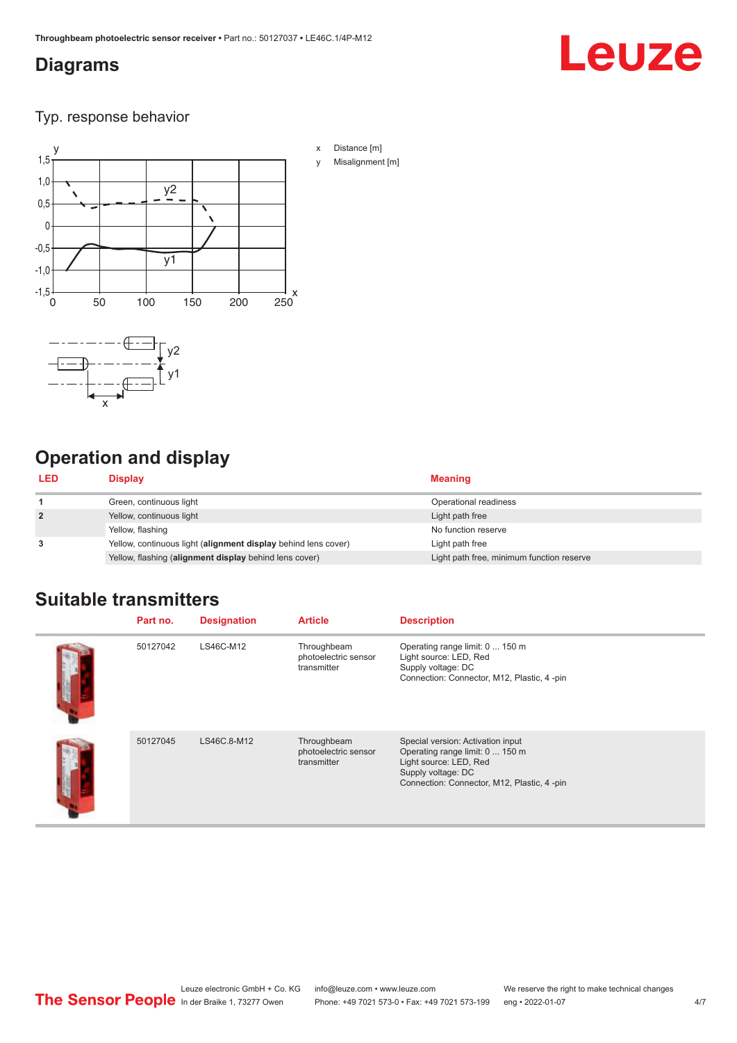### <span id="page-3-0"></span>**Diagrams**

## **Leuze**

Typ. response behavior



## **Operation and display**

| <b>LED</b>     | Display                                                        | <b>Meaning</b>                            |
|----------------|----------------------------------------------------------------|-------------------------------------------|
|                | Green, continuous light                                        | Operational readiness                     |
| $\overline{2}$ | Yellow, continuous light                                       | Light path free                           |
|                | Yellow, flashing                                               | No function reserve                       |
| 3              | Yellow, continuous light (alignment display behind lens cover) | Light path free                           |
|                | Yellow, flashing (alignment display behind lens cover)         | Light path free, minimum function reserve |

## **Suitable transmitters**

| Part no. | <b>Designation</b> | <b>Article</b>                                     | <b>Description</b>                                                                                                                                                  |
|----------|--------------------|----------------------------------------------------|---------------------------------------------------------------------------------------------------------------------------------------------------------------------|
| 50127042 | LS46C-M12          | Throughbeam<br>photoelectric sensor<br>transmitter | Operating range limit: 0  150 m<br>Light source: LED, Red<br>Supply voltage: DC<br>Connection: Connector, M12, Plastic, 4-pin                                       |
| 50127045 | LS46C.8-M12        | Throughbeam<br>photoelectric sensor<br>transmitter | Special version: Activation input<br>Operating range limit: 0  150 m<br>Light source: LED, Red<br>Supply voltage: DC<br>Connection: Connector, M12, Plastic, 4 -pin |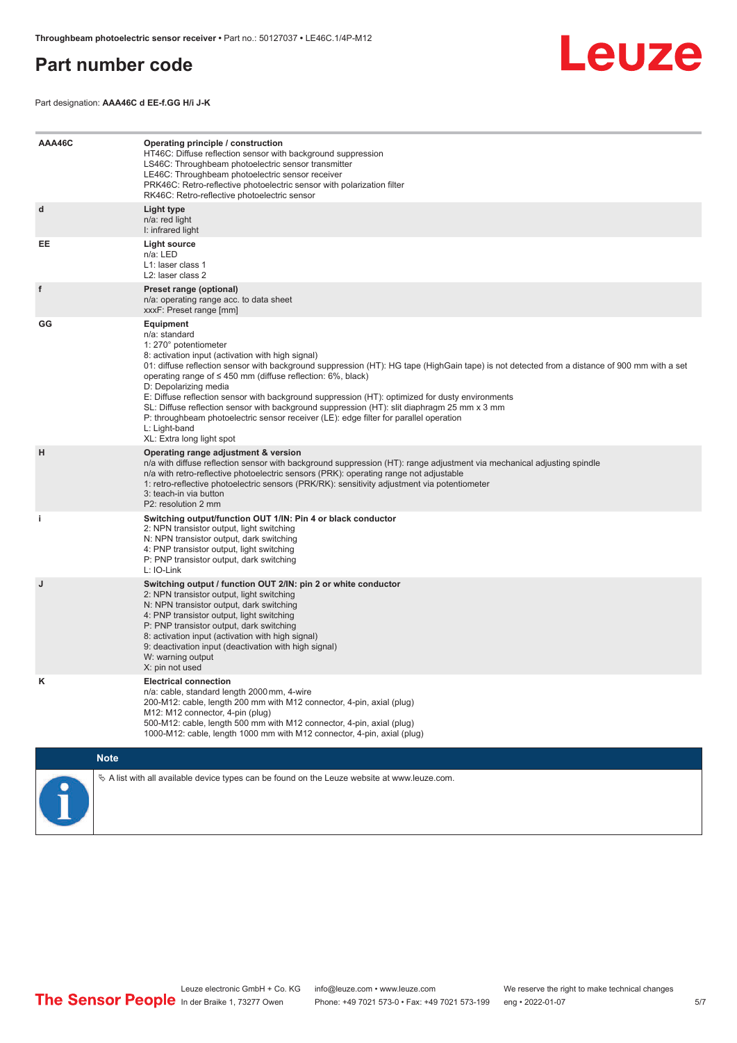### <span id="page-4-0"></span>**Part number code**



Part designation: **AAA46C d EE-f.GG H/i J-K**

| AAA46C | Operating principle / construction<br>HT46C: Diffuse reflection sensor with background suppression<br>LS46C: Throughbeam photoelectric sensor transmitter<br>LE46C: Throughbeam photoelectric sensor receiver<br>PRK46C: Retro-reflective photoelectric sensor with polarization filter<br>RK46C: Retro-reflective photoelectric sensor                                                                                                                                                                                                                                                                                                                                                        |
|--------|------------------------------------------------------------------------------------------------------------------------------------------------------------------------------------------------------------------------------------------------------------------------------------------------------------------------------------------------------------------------------------------------------------------------------------------------------------------------------------------------------------------------------------------------------------------------------------------------------------------------------------------------------------------------------------------------|
| d      | Light type<br>n/a: red light<br>I: infrared light                                                                                                                                                                                                                                                                                                                                                                                                                                                                                                                                                                                                                                              |
| EE     | Light source<br>n/a: LED<br>L1: laser class 1<br>L <sub>2</sub> : laser class 2                                                                                                                                                                                                                                                                                                                                                                                                                                                                                                                                                                                                                |
| f      | Preset range (optional)<br>n/a: operating range acc. to data sheet<br>xxxF: Preset range [mm]                                                                                                                                                                                                                                                                                                                                                                                                                                                                                                                                                                                                  |
| GG     | Equipment<br>n/a: standard<br>1: 270° potentiometer<br>8: activation input (activation with high signal)<br>01: diffuse reflection sensor with background suppression (HT): HG tape (HighGain tape) is not detected from a distance of 900 mm with a set<br>operating range of $\leq$ 450 mm (diffuse reflection: 6%, black)<br>D: Depolarizing media<br>E: Diffuse reflection sensor with background suppression (HT): optimized for dusty environments<br>SL: Diffuse reflection sensor with background suppression (HT): slit diaphragm 25 mm x 3 mm<br>P: throughbeam photoelectric sensor receiver (LE): edge filter for parallel operation<br>L: Light-band<br>XL: Extra long light spot |
| н      | Operating range adjustment & version<br>n/a with diffuse reflection sensor with background suppression (HT): range adjustment via mechanical adjusting spindle<br>n/a with retro-reflective photoelectric sensors (PRK): operating range not adjustable<br>1: retro-reflective photoelectric sensors (PRK/RK): sensitivity adjustment via potentiometer<br>3: teach-in via button<br>P2: resolution 2 mm                                                                                                                                                                                                                                                                                       |
| j.     | Switching output/function OUT 1/IN: Pin 4 or black conductor<br>2: NPN transistor output, light switching<br>N: NPN transistor output, dark switching<br>4: PNP transistor output, light switching<br>P: PNP transistor output, dark switching<br>L: IO-Link                                                                                                                                                                                                                                                                                                                                                                                                                                   |
| J      | Switching output / function OUT 2/IN: pin 2 or white conductor<br>2: NPN transistor output, light switching<br>N: NPN transistor output, dark switching<br>4: PNP transistor output, light switching<br>P: PNP transistor output, dark switching<br>8: activation input (activation with high signal)<br>9: deactivation input (deactivation with high signal)<br>W: warning output<br>X: pin not used                                                                                                                                                                                                                                                                                         |
| κ      | <b>Electrical connection</b><br>n/a: cable, standard length 2000 mm, 4-wire<br>200-M12: cable, length 200 mm with M12 connector, 4-pin, axial (plug)<br>M12: M12 connector, 4-pin (plug)<br>500-M12: cable, length 500 mm with M12 connector, 4-pin, axial (plug)<br>1000-M12: cable, length 1000 mm with M12 connector, 4-pin, axial (plug)                                                                                                                                                                                                                                                                                                                                                   |
|        | <b>Note</b>                                                                                                                                                                                                                                                                                                                                                                                                                                                                                                                                                                                                                                                                                    |
|        | $\&$ A list with all available device types can be found on the Leuze website at www.leuze.com.                                                                                                                                                                                                                                                                                                                                                                                                                                                                                                                                                                                                |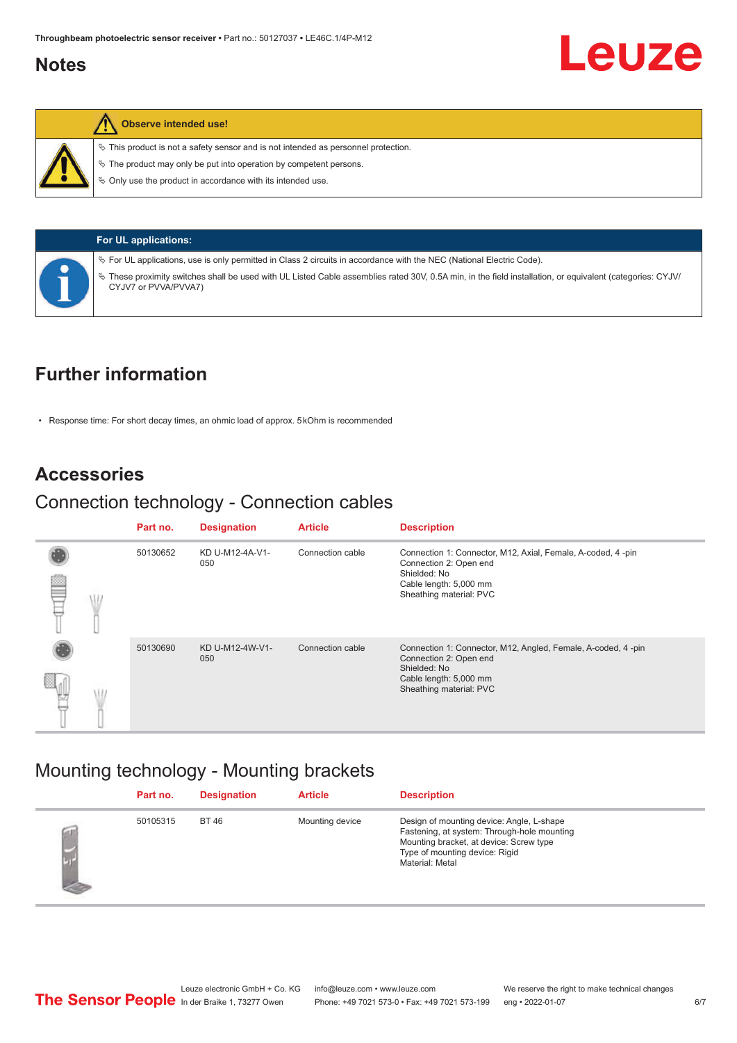### <span id="page-5-0"></span>**Notes**



#### **Observe intended use!**

 $\%$  This product is not a safety sensor and is not intended as personnel protection.

 $\ddot{\phi}$  The product may only be put into operation by competent persons.

 $\%$  Only use the product in accordance with its intended use.

#### **For UL applications:**

ª For UL applications, use is only permitted in Class 2 circuits in accordance with the NEC (National Electric Code).

ª These proximity switches shall be used with UL Listed Cable assemblies rated 30V, 0.5A min, in the field installation, or equivalent (categories: CYJV/ CYJV7 or PVVA/PVVA7)

## **Further information**

• Response time: For short decay times, an ohmic load of approx. 5 kOhm is recommended

#### **Accessories**

### Connection technology - Connection cables

|  | Part no. | <b>Designation</b>     | <b>Article</b>   | <b>Description</b>                                                                                     |
|--|----------|------------------------|------------------|--------------------------------------------------------------------------------------------------------|
|  | 50130652 | KD U-M12-4A-V1-<br>050 | Connection cable | Connection 1: Connector, M12, Axial, Female, A-coded, 4-pin<br>Connection 2: Open end                  |
|  |          |                        |                  | Shielded: No<br>Cable length: 5,000 mm<br>Sheathing material: PVC                                      |
|  | 50130690 | KD U-M12-4W-V1-<br>050 | Connection cable | Connection 1: Connector, M12, Angled, Female, A-coded, 4-pin<br>Connection 2: Open end<br>Shielded: No |
|  |          |                        |                  | Cable length: 5,000 mm<br>Sheathing material: PVC                                                      |

## Mounting technology - Mounting brackets

|   | Part no. | <b>Designation</b> | <b>Article</b>  | <b>Description</b>                                                                                                                                                                       |
|---|----------|--------------------|-----------------|------------------------------------------------------------------------------------------------------------------------------------------------------------------------------------------|
| × | 50105315 | <b>BT 46</b>       | Mounting device | Design of mounting device: Angle, L-shape<br>Fastening, at system: Through-hole mounting<br>Mounting bracket, at device: Screw type<br>Type of mounting device: Rigid<br>Material: Metal |

Leuze